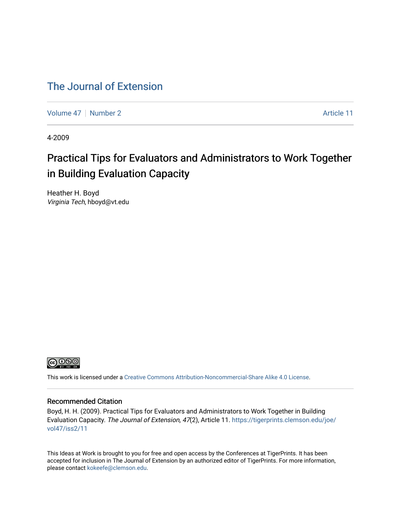#### [The Journal of Extension](https://tigerprints.clemson.edu/joe)

[Volume 47](https://tigerprints.clemson.edu/joe/vol47) | [Number 2](https://tigerprints.clemson.edu/joe/vol47/iss2) Article 11

4-2009

### Practical Tips for Evaluators and Administrators to Work Together in Building Evaluation Capacity

Heather H. Boyd Virginia Tech, hboyd@vt.edu



This work is licensed under a [Creative Commons Attribution-Noncommercial-Share Alike 4.0 License.](https://creativecommons.org/licenses/by-nc-sa/4.0/)

#### Recommended Citation

Boyd, H. H. (2009). Practical Tips for Evaluators and Administrators to Work Together in Building Evaluation Capacity. The Journal of Extension, 47(2), Article 11. [https://tigerprints.clemson.edu/joe/](https://tigerprints.clemson.edu/joe/vol47/iss2/11) [vol47/iss2/11](https://tigerprints.clemson.edu/joe/vol47/iss2/11) 

This Ideas at Work is brought to you for free and open access by the Conferences at TigerPrints. It has been accepted for inclusion in The Journal of Extension by an authorized editor of TigerPrints. For more information, please contact [kokeefe@clemson.edu](mailto:kokeefe@clemson.edu).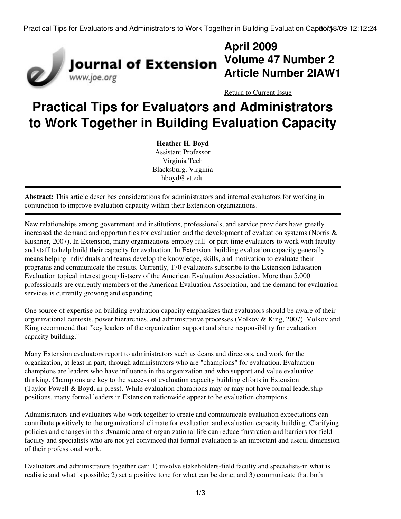

# **April 2009 Volume 47 Number 2 Article Number 2IAW1**

[Return to Current Issue](http://www.joe.org:80/joe/2009april/)

# **Practical Tips for Evaluators and Administrators to Work Together in Building Evaluation Capacity**

**Heather H. Boyd** Assistant Professor Virginia Tech Blacksburg, Virginia [hboyd@vt.edu](mailto:hboyd@vt.edu)

**Abstract:** This article describes considerations for administrators and internal evaluators for working in conjunction to improve evaluation capacity within their Extension organizations.

New relationships among government and institutions, professionals, and service providers have greatly increased the demand and opportunities for evaluation and the development of evaluation systems (Norris  $\&$ Kushner, 2007). In Extension, many organizations employ full- or part-time evaluators to work with faculty and staff to help build their capacity for evaluation. In Extension, building evaluation capacity generally means helping individuals and teams develop the knowledge, skills, and motivation to evaluate their programs and communicate the results. Currently, 170 evaluators subscribe to the Extension Education Evaluation topical interest group listserv of the American Evaluation Association. More than 5,000 professionals are currently members of the American Evaluation Association, and the demand for evaluation services is currently growing and expanding.

One source of expertise on building evaluation capacity emphasizes that evaluators should be aware of their organizational contexts, power hierarchies, and administrative processes (Volkov & King, 2007). Volkov and King recommend that "key leaders of the organization support and share responsibility for evaluation capacity building."

Many Extension evaluators report to administrators such as deans and directors, and work for the organization, at least in part, through administrators who are "champions" for evaluation. Evaluation champions are leaders who have influence in the organization and who support and value evaluative thinking. Champions are key to the success of evaluation capacity building efforts in Extension (Taylor-Powell & Boyd, in press). While evaluation champions may or may not have formal leadership positions, many formal leaders in Extension nationwide appear to be evaluation champions.

Administrators and evaluators who work together to create and communicate evaluation expectations can contribute positively to the organizational climate for evaluation and evaluation capacity building. Clarifying policies and changes in this dynamic area of organizational life can reduce frustration and barriers for field faculty and specialists who are not yet convinced that formal evaluation is an important and useful dimension of their professional work.

Evaluators and administrators together can: 1) involve stakeholders-field faculty and specialists-in what is realistic and what is possible; 2) set a positive tone for what can be done; and 3) communicate that both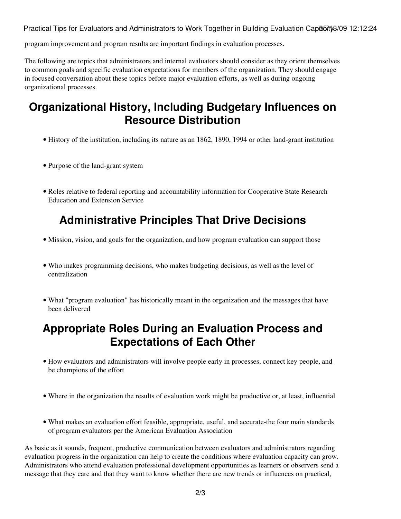Practical Tips for Evaluators and Administrators to Work Together in Building Evaluation Capabity 8/09 12:12:24

program improvement and program results are important findings in evaluation processes.

The following are topics that administrators and internal evaluators should consider as they orient themselves to common goals and specific evaluation expectations for members of the organization. They should engage in focused conversation about these topics before major evaluation efforts, as well as during ongoing organizational processes.

### **Organizational History, Including Budgetary Influences on Resource Distribution**

- History of the institution, including its nature as an 1862, 1890, 1994 or other land-grant institution
- Purpose of the land-grant system
- Roles relative to federal reporting and accountability information for Cooperative State Research Education and Extension Service

# **Administrative Principles That Drive Decisions**

- Mission, vision, and goals for the organization, and how program evaluation can support those
- Who makes programming decisions, who makes budgeting decisions, as well as the level of centralization
- What "program evaluation" has historically meant in the organization and the messages that have been delivered

### **Appropriate Roles During an Evaluation Process and Expectations of Each Other**

- How evaluators and administrators will involve people early in processes, connect key people, and be champions of the effort
- Where in the organization the results of evaluation work might be productive or, at least, influential
- What makes an evaluation effort feasible, appropriate, useful, and accurate-the four main standards of program evaluators per the American Evaluation Association

As basic as it sounds, frequent, productive communication between evaluators and administrators regarding evaluation progress in the organization can help to create the conditions where evaluation capacity can grow. Administrators who attend evaluation professional development opportunities as learners or observers send a message that they care and that they want to know whether there are new trends or influences on practical,